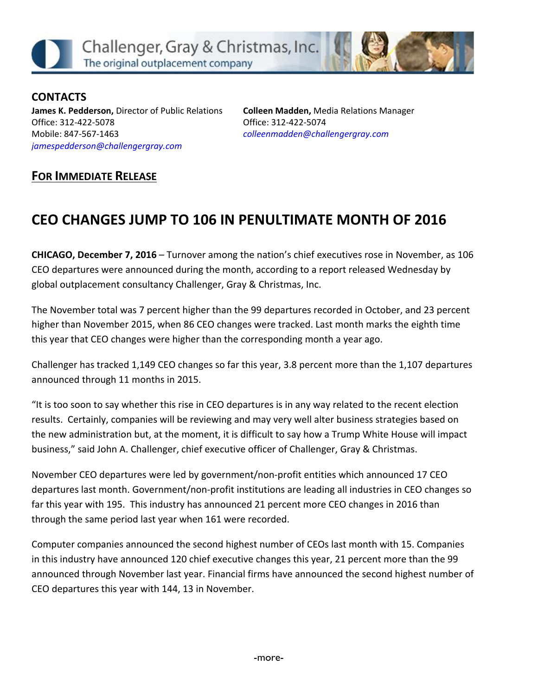



**Colleen Madden,** Media Relations Manager Office: 312-422-5074 *[colleenmadden@challengergray.com](mailto:colleenmadden@challengergray.com)*

### **FOR IMMEDIATE RELEASE**

# **CEO CHANGES JUMP TO 106 IN PENULTIMATE MONTH OF 2016**

**CHICAGO, December 7, 2016** – Turnover among the nation's chief executives rose in November, as 106 CEO departures were announced during the month, according to a report released Wednesday by global outplacement consultancy Challenger, Gray & Christmas, Inc.

The November total was 7 percent higher than the 99 departures recorded in October, and 23 percent higher than November 2015, when 86 CEO changes were tracked. Last month marks the eighth time this year that CEO changes were higher than the corresponding month a year ago.

Challenger has tracked 1,149 CEO changes so far this year, 3.8 percent more than the 1,107 departures announced through 11 months in 2015.

"It is too soon to say whether this rise in CEO departures is in any way related to the recent election results. Certainly, companies will be reviewing and may very well alter business strategies based on the new administration but, at the moment, it is difficult to say how a Trump White House will impact business," said John A. Challenger, chief executive officer of Challenger, Gray & Christmas.

November CEO departures were led by government/non-profit entities which announced 17 CEO departures last month. Government/non-profit institutions are leading all industries in CEO changes so far this year with 195. This industry has announced 21 percent more CEO changes in 2016 than through the same period last year when 161 were recorded.

Computer companies announced the second highest number of CEOs last month with 15. Companies in this industry have announced 120 chief executive changes this year, 21 percent more than the 99 announced through November last year. Financial firms have announced the second highest number of CEO departures this year with 144, 13 in November.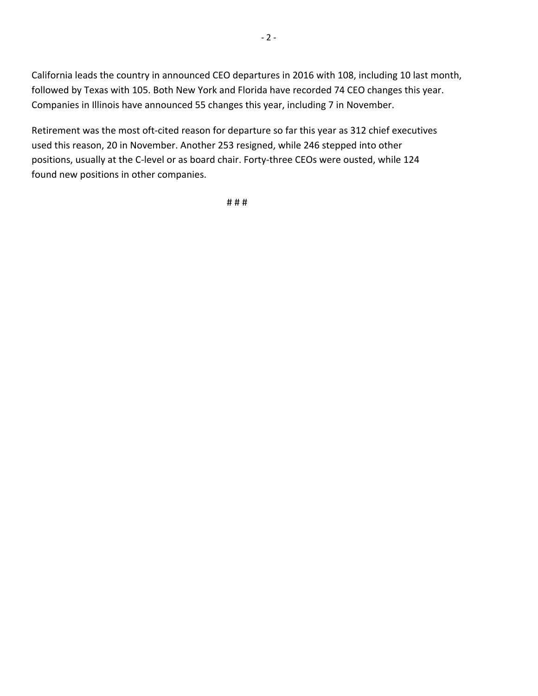California leads the country in announced CEO departures in 2016 with 108, including 10 last month, followed by Texas with 105. Both New York and Florida have recorded 74 CEO changes this year. Companies in Illinois have announced 55 changes this year, including 7 in November.

Retirement was the most oft-cited reason for departure so far this year as 312 chief executives used this reason, 20 in November. Another 253 resigned, while 246 stepped into other positions, usually at the C-level or as board chair. Forty-three CEOs were ousted, while 124 found new positions in other companies.

# # #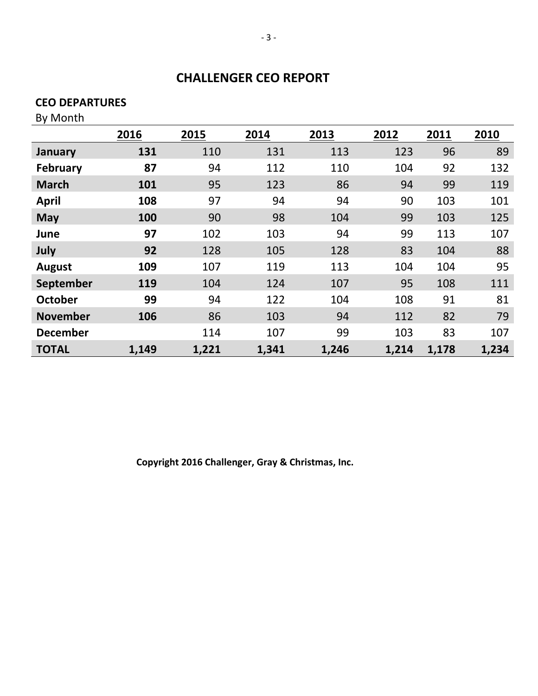#### **CEO DEPARTURES**

By Month

|                 | 2016  | 2015  | 2014  | 2013  | 2012  | 2011  | 2010  |
|-----------------|-------|-------|-------|-------|-------|-------|-------|
| January         | 131   | 110   | 131   | 113   | 123   | 96    | 89    |
| <b>February</b> | 87    | 94    | 112   | 110   | 104   | 92    | 132   |
| <b>March</b>    | 101   | 95    | 123   | 86    | 94    | 99    | 119   |
| <b>April</b>    | 108   | 97    | 94    | 94    | 90    | 103   | 101   |
| <b>May</b>      | 100   | 90    | 98    | 104   | 99    | 103   | 125   |
| June            | 97    | 102   | 103   | 94    | 99    | 113   | 107   |
| July            | 92    | 128   | 105   | 128   | 83    | 104   | 88    |
| <b>August</b>   | 109   | 107   | 119   | 113   | 104   | 104   | 95    |
| September       | 119   | 104   | 124   | 107   | 95    | 108   | 111   |
| <b>October</b>  | 99    | 94    | 122   | 104   | 108   | 91    | 81    |
| <b>November</b> | 106   | 86    | 103   | 94    | 112   | 82    | 79    |
| <b>December</b> |       | 114   | 107   | 99    | 103   | 83    | 107   |
| <b>TOTAL</b>    | 1,149 | 1,221 | 1,341 | 1,246 | 1,214 | 1,178 | 1,234 |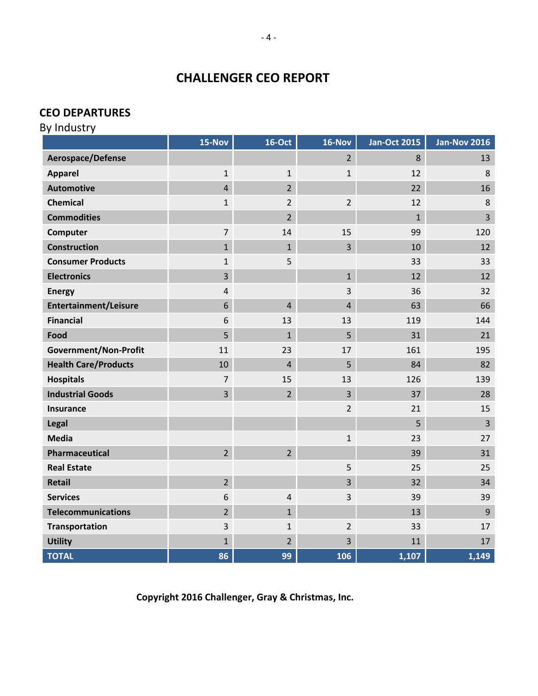#### **CEO DEPARTURES**

| By Industry                  |                |                |                         |                     |                     |
|------------------------------|----------------|----------------|-------------------------|---------------------|---------------------|
|                              | 15-Nov         | <b>16-Oct</b>  | 16-Nov                  | <b>Jan-Oct 2015</b> | <b>Jan-Nov 2016</b> |
| Aerospace/Defense            |                |                | $\overline{2}$          | 8                   | 13                  |
| <b>Apparel</b>               | $\mathbf{1}$   | $\mathbf{1}$   | $\mathbf{1}$            | 12                  | 8                   |
| <b>Automotive</b>            | $\overline{4}$ | $\overline{2}$ |                         | 22                  | 16                  |
| <b>Chemical</b>              | $\mathbf{1}$   | $\overline{2}$ | $\overline{2}$          | 12                  | 8                   |
| <b>Commodities</b>           |                | $\overline{2}$ |                         | $\mathbf{1}$        | $\overline{3}$      |
| Computer                     | $\overline{7}$ | 14             | 15                      | 99                  | 120                 |
| <b>Construction</b>          | $\mathbf{1}$   | $\mathbf{1}$   | $\overline{3}$          | 10                  | 12                  |
| <b>Consumer Products</b>     | $\mathbf{1}$   | 5              |                         | 33                  | 33                  |
| <b>Electronics</b>           | 3              |                | $\mathbf{1}$            | 12                  | 12                  |
| <b>Energy</b>                | 4              |                | $\overline{\mathbf{3}}$ | 36                  | 32                  |
| <b>Entertainment/Leisure</b> | 6              | $\overline{4}$ | $\overline{4}$          | 63                  | 66                  |
| <b>Financial</b>             | 6              | 13             | 13                      | 119                 | 144                 |
| Food                         | 5              | $\mathbf{1}$   | 5                       | 31                  | 21                  |
| Government/Non-Profit        | 11             | 23             | 17                      | 161                 | 195                 |
| <b>Health Care/Products</b>  | 10             | $\overline{4}$ | 5                       | 84                  | 82                  |
| <b>Hospitals</b>             | $\overline{7}$ | 15             | 13                      | 126                 | 139                 |
| <b>Industrial Goods</b>      | 3              | $\overline{2}$ | $\overline{3}$          | 37                  | 28                  |
| <b>Insurance</b>             |                |                | $\overline{2}$          | 21                  | 15                  |
| <b>Legal</b>                 |                |                |                         | 5                   | $\overline{3}$      |
| <b>Media</b>                 |                |                | $\mathbf 1$             | 23                  | 27                  |
| Pharmaceutical               | 2 <sup>1</sup> | $\overline{2}$ |                         | 39                  | 31                  |
| <b>Real Estate</b>           |                |                | 5                       | 25                  | 25                  |
| <b>Retail</b>                | $\overline{2}$ |                | $\overline{3}$          | 32                  | 34                  |
| <b>Services</b>              | 6              | $\overline{4}$ | $\overline{\mathbf{3}}$ | 39                  | 39                  |
| <b>Telecommunications</b>    | $\overline{2}$ | $\mathbf{1}$   |                         | 13                  | 9                   |
| Transportation               | 3              | $\mathbf{1}$   | $\overline{2}$          | 33                  | 17                  |
| <b>Utility</b>               | $\mathbf{1}$   | $\overline{2}$ | $\overline{3}$          | 11                  | 17                  |
| <b>TOTAL</b>                 | 86             | 99             | 106                     | 1,107               | 1,149               |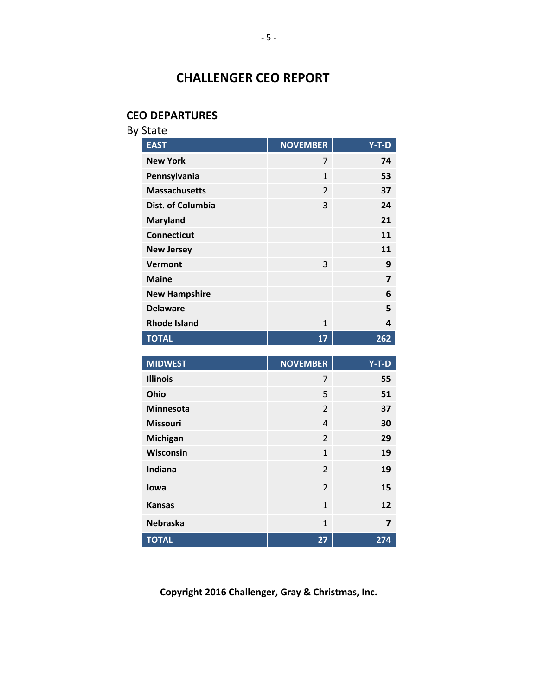#### **CEO DEPARTURES**

| <b>By State</b>      |                 |                |
|----------------------|-----------------|----------------|
| <b>EAST</b>          | <b>NOVEMBER</b> | $Y-T-D$        |
| <b>New York</b>      | 7               | 74             |
| Pennsylvania         | $\mathbf{1}$    | 53             |
| <b>Massachusetts</b> | $\overline{2}$  | 37             |
| Dist. of Columbia    | 3               | 24             |
| <b>Maryland</b>      |                 | 21             |
| <b>Connecticut</b>   |                 | 11             |
| <b>New Jersey</b>    |                 | 11             |
| <b>Vermont</b>       | 3               | 9              |
| <b>Maine</b>         |                 | $\overline{7}$ |
| <b>New Hampshire</b> |                 | 6              |
| <b>Delaware</b>      |                 | 5              |
| <b>Rhode Island</b>  | $\mathbf{1}$    | 4              |
| <b>TOTAL</b>         | 17              | 262            |

| <b>MIDWEST</b>   | <b>NOVEMBER</b> | $Y-T-D$ |
|------------------|-----------------|---------|
| <b>Illinois</b>  | 7               | 55      |
| Ohio             | 5               | 51      |
| <b>Minnesota</b> | $\overline{2}$  | 37      |
| <b>Missouri</b>  | 4               | 30      |
| Michigan         | $\overline{2}$  | 29      |
| Wisconsin        | $\mathbf{1}$    | 19      |
| Indiana          | $\overline{2}$  | 19      |
| lowa             | $\overline{2}$  | 15      |
| <b>Kansas</b>    | $\mathbf{1}$    | 12      |
| <b>Nebraska</b>  | $\mathbf{1}$    | 7       |
| <b>TOTAL</b>     | $\overline{27}$ | 274     |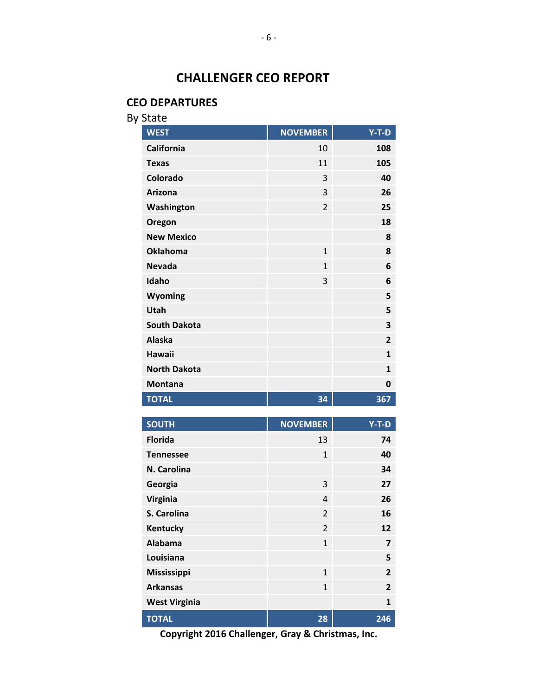#### **CEO DEPARTURES**

| <b>By State</b>     |                          |                |
|---------------------|--------------------------|----------------|
| <b>WEST</b>         | <b>NOVEMBER</b>          | Y-T-D          |
| California          | 10                       | 108            |
| <b>Texas</b>        | 11                       | 105            |
| Colorado            | 3                        | 40             |
| <b>Arizona</b>      | 3                        | 26             |
| Washington          | $\overline{\phantom{a}}$ | 25             |
| Oregon              |                          | 18             |
| <b>New Mexico</b>   |                          | 8              |
| <b>Oklahoma</b>     | $\mathbf{1}$             | 8              |
| <b>Nevada</b>       | $\mathbf{1}$             | 6              |
| Idaho               | 3                        | 6              |
| Wyoming             |                          | 5              |
| <b>Utah</b>         |                          | 5              |
| <b>South Dakota</b> |                          | 3              |
| <b>Alaska</b>       |                          | $\overline{2}$ |
| <b>Hawaii</b>       |                          | $\mathbf{1}$   |
| <b>North Dakota</b> |                          | $\mathbf{1}$   |
| <b>Montana</b>      |                          | 0              |
| <b>TOTAL</b>        | 34                       | 367            |

| <b>SOUTH</b>         | <b>NOVEMBER</b> | $Y-T-D$        |
|----------------------|-----------------|----------------|
| <b>Florida</b>       | 13              | 74             |
| <b>Tennessee</b>     | $\mathbf{1}$    | 40             |
| N. Carolina          |                 | 34             |
| Georgia              | 3               | 27             |
| <b>Virginia</b>      | 4               | 26             |
| S. Carolina          | $\overline{2}$  | 16             |
| Kentucky             | $\overline{2}$  | 12             |
| Alabama              | $\mathbf{1}$    | 7              |
| Louisiana            |                 | 5              |
| <b>Mississippi</b>   | $\mathbf{1}$    | $\overline{2}$ |
| <b>Arkansas</b>      | $\mathbf{1}$    | $\overline{2}$ |
| <b>West Virginia</b> |                 | 1              |
| <b>TOTAL</b>         | 28              | 246            |